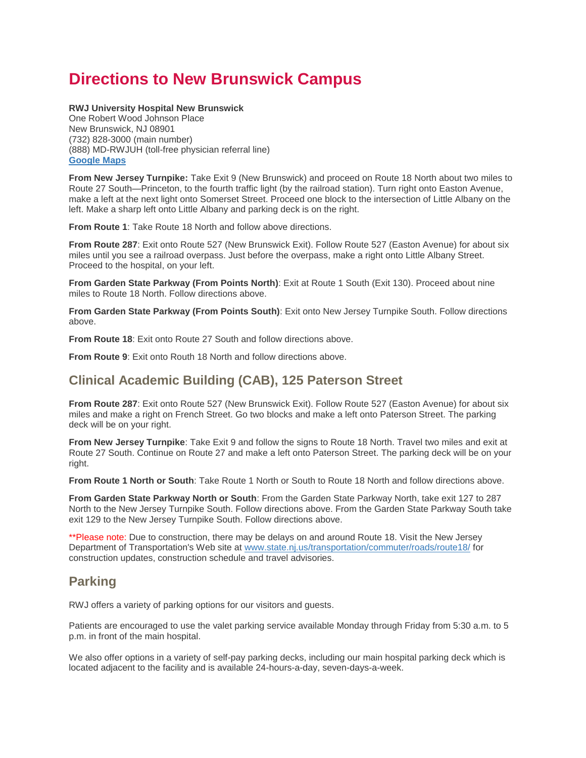## **Directions to New Brunswick Campus**

#### **RWJ University Hospital New Brunswick**

One Robert Wood Johnson Place New Brunswick, NJ 08901 (732) 828-3000 (main number) (888) MD-RWJUH (toll-free physician referral line) **[Google Maps](https://www.google.com/maps/place/1+Robert+Wood+Johnson+Pl,+New+Brunswick,+NJ+08901/@40.4954872,-74.4494993,17z/data=!3m1!4b1!4m2!3m1!1s0x89c3c656e742b221:0x49a2e9486a7a66c4)**

**From New Jersey Turnpike:** Take Exit 9 (New Brunswick) and proceed on Route 18 North about two miles to Route 27 South—Princeton, to the fourth traffic light (by the railroad station). Turn right onto Easton Avenue, make a left at the next light onto Somerset Street. Proceed one block to the intersection of Little Albany on the left. Make a sharp left onto Little Albany and parking deck is on the right.

**From Route 1**: Take Route 18 North and follow above directions.

**From Route 287**: Exit onto Route 527 (New Brunswick Exit). Follow Route 527 (Easton Avenue) for about six miles until you see a railroad overpass. Just before the overpass, make a right onto Little Albany Street. Proceed to the hospital, on your left.

**From Garden State Parkway (From Points North)**: Exit at Route 1 South (Exit 130). Proceed about nine miles to Route 18 North. Follow directions above.

**From Garden State Parkway (From Points South)**: Exit onto New Jersey Turnpike South. Follow directions above.

**From Route 18**: Exit onto Route 27 South and follow directions above.

**From Route 9**: Exit onto Routh 18 North and follow directions above.

### **Clinical Academic Building (CAB), 125 Paterson Street**

**From Route 287**: Exit onto Route 527 (New Brunswick Exit). Follow Route 527 (Easton Avenue) for about six miles and make a right on French Street. Go two blocks and make a left onto Paterson Street. The parking deck will be on your right.

**From New Jersey Turnpike**: Take Exit 9 and follow the signs to Route 18 North. Travel two miles and exit at Route 27 South. Continue on Route 27 and make a left onto Paterson Street. The parking deck will be on your right.

**From Route 1 North or South**: Take Route 1 North or South to Route 18 North and follow directions above.

**From Garden State Parkway North or South**: From the Garden State Parkway North, take exit 127 to 287 North to the New Jersey Turnpike South. Follow directions above. From the Garden State Parkway South take exit 129 to the New Jersey Turnpike South. Follow directions above.

\*\*Please note: Due to construction, there may be delays on and around Route 18. Visit the New Jersey Department of Transportation's Web site at [www.state.nj.us/transportation/commuter/roads/route18/](http://www.state.nj.us/transportation/commuter/roads/route18/) for construction updates, construction schedule and travel advisories.

#### **Parking**

RWJ offers a variety of parking options for our visitors and guests.

Patients are encouraged to use the valet parking service available Monday through Friday from 5:30 a.m. to 5 p.m. in front of the main hospital.

We also offer options in a variety of self-pay parking decks, including our main hospital parking deck which is located adjacent to the facility and is available 24-hours-a-day, seven-days-a-week.